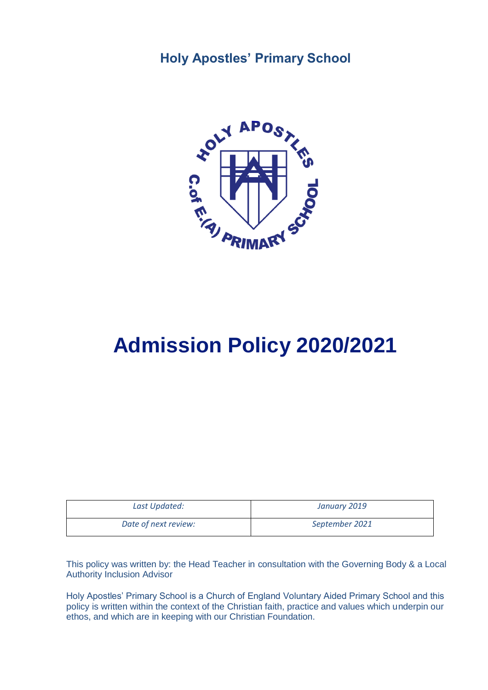## **Holy Apostles' Primary School**



# **Admission Policy 2020/2021**

| Last Updated:        | January 2019   |
|----------------------|----------------|
| Date of next review: | September 2021 |

This policy was written by: the Head Teacher in consultation with the Governing Body & a Local Authority Inclusion Advisor

Holy Apostles' Primary School is a Church of England Voluntary Aided Primary School and this policy is written within the context of the Christian faith, practice and values which underpin our ethos, and which are in keeping with our Christian Foundation.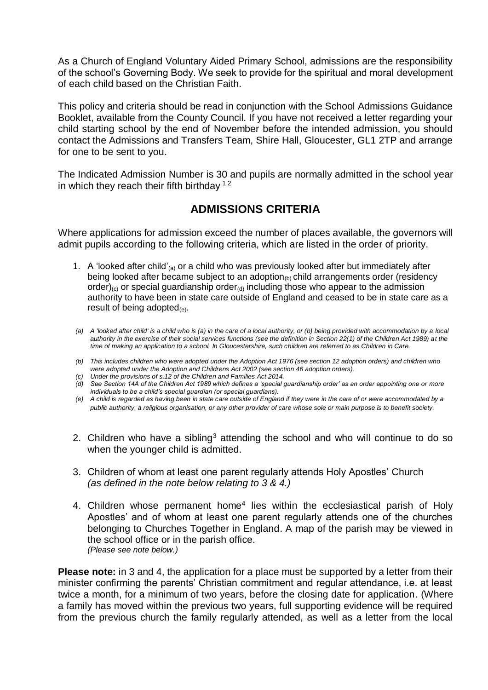As a Church of England Voluntary Aided Primary School, admissions are the responsibility of the school's Governing Body. We seek to provide for the spiritual and moral development of each child based on the Christian Faith.

This policy and criteria should be read in conjunction with the School Admissions Guidance Booklet, available from the County Council. If you have not received a letter regarding your child starting school by the end of November before the intended admission, you should contact the Admissions and Transfers Team, Shire Hall, Gloucester, GL1 2TP and arrange for one to be sent to you.

The Indicated Admission Number is 30 and pupils are normally admitted in the school year in which they reach their fifth birthday  $12$ 

### **ADMISSIONS CRITERIA**

Where applications for admission exceed the number of places available, the governors will admit pupils according to the following criteria, which are listed in the order of priority.

- 1. A 'looked after child'(a) or a child who was previously looked after but immediately after being looked after became subject to an adoption $_{(b)}$  child arrangements order (residency order)<sub>(c)</sub> or special guardianship order<sub>(d)</sub> including those who appear to the admission authority to have been in state care outside of England and ceased to be in state care as a result of being adopted<sub>(e)</sub>.
- *(a) A 'looked after child' is a child who is (a) in the care of a local authority, or (b) being provided with accommodation by a local authority in the exercise of their social services functions (see the definition in Section 22(1) of the Children Act 1989) at the time of making an application to a school. In Gloucestershire, such children are referred to as Children in Care.*
- *(b) This includes children who were adopted under the Adoption Act 1976 (see section 12 adoption orders) and children who were adopted under the Adoption and Childrens Act 2002 (see section 46 adoption orders).*
- *(c) Under the provisions of s.12 of the Children and Families Act 2014.*
- *(d) See Section 14A of the Children Act 1989 which defines a 'special guardianship order' as an order appointing one or more individuals to be a child's special guardian (or special guardians).*
- *(e) A child is regarded as having been in state care outside of England if they were in the care of or were accommodated by a public authority, a religious organisation, or any other provider of care whose sole or main purpose is to benefit society.*
- 2. Children who have a sibling<sup>3</sup> attending the school and who will continue to do so when the younger child is admitted.
- 3. Children of whom at least one parent regularly attends Holy Apostles' Church *(as defined in the note below relating to 3 & 4.)*
- 4. Children whose permanent home<sup>4</sup> lies within the ecclesiastical parish of Holy Apostles' and of whom at least one parent regularly attends one of the churches belonging to Churches Together in England. A map of the parish may be viewed in the school office or in the parish office. *(Please see note below.)*

**Please note:** in 3 and 4, the application for a place must be supported by a letter from their minister confirming the parents' Christian commitment and regular attendance, i.e. at least twice a month, for a minimum of two years, before the closing date for application. (Where a family has moved within the previous two years, full supporting evidence will be required from the previous church the family regularly attended, as well as a letter from the local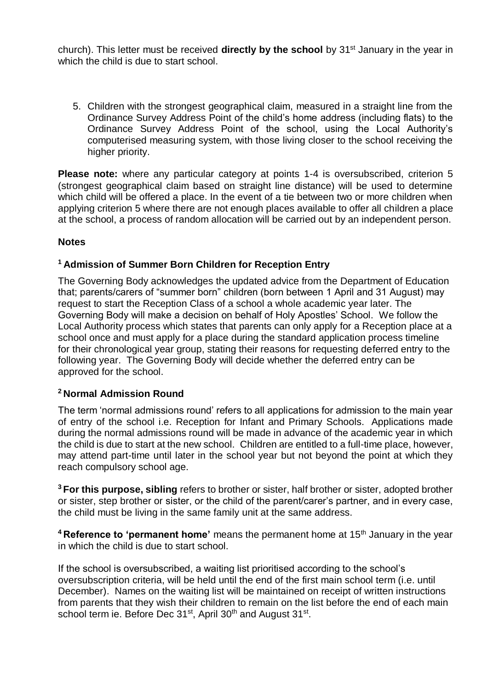church). This letter must be received **directly by the school** by 31st January in the year in which the child is due to start school.

5. Children with the strongest geographical claim, measured in a straight line from the Ordinance Survey Address Point of the child's home address (including flats) to the Ordinance Survey Address Point of the school, using the Local Authority's computerised measuring system, with those living closer to the school receiving the higher priority.

**Please note:** where any particular category at points 1-4 is oversubscribed, criterion 5 (strongest geographical claim based on straight line distance) will be used to determine which child will be offered a place. In the event of a tie between two or more children when applying criterion 5 where there are not enough places available to offer all children a place at the school, a process of random allocation will be carried out by an independent person.

#### **Notes**

#### **<sup>1</sup>Admission of Summer Born Children for Reception Entry**

The Governing Body acknowledges the updated advice from the Department of Education that; parents/carers of "summer born" children (born between 1 April and 31 August) may request to start the Reception Class of a school a whole academic year later. The Governing Body will make a decision on behalf of Holy Apostles' School. We follow the Local Authority process which states that parents can only apply for a Reception place at a school once and must apply for a place during the standard application process timeline for their chronological year group, stating their reasons for requesting deferred entry to the following year. The Governing Body will decide whether the deferred entry can be approved for the school.

#### **<sup>2</sup>Normal Admission Round**

The term 'normal admissions round' refers to all applications for admission to the main year of entry of the school i.e. Reception for Infant and Primary Schools. Applications made during the normal admissions round will be made in advance of the academic year in which the child is due to start at the new school. Children are entitled to a full-time place, however, may attend part-time until later in the school year but not beyond the point at which they reach compulsory school age.

**<sup>3</sup>For this purpose, sibling** refers to brother or sister, half brother or sister, adopted brother or sister, step brother or sister, or the child of the parent/carer's partner, and in every case, the child must be living in the same family unit at the same address.

**<sup>4</sup>Reference to 'permanent home'** means the permanent home at 15th January in the year in which the child is due to start school.

If the school is oversubscribed, a waiting list prioritised according to the school's oversubscription criteria, will be held until the end of the first main school term (i.e. until December). Names on the waiting list will be maintained on receipt of written instructions from parents that they wish their children to remain on the list before the end of each main school term ie. Before Dec 31st, April 30<sup>th</sup> and August 31st.